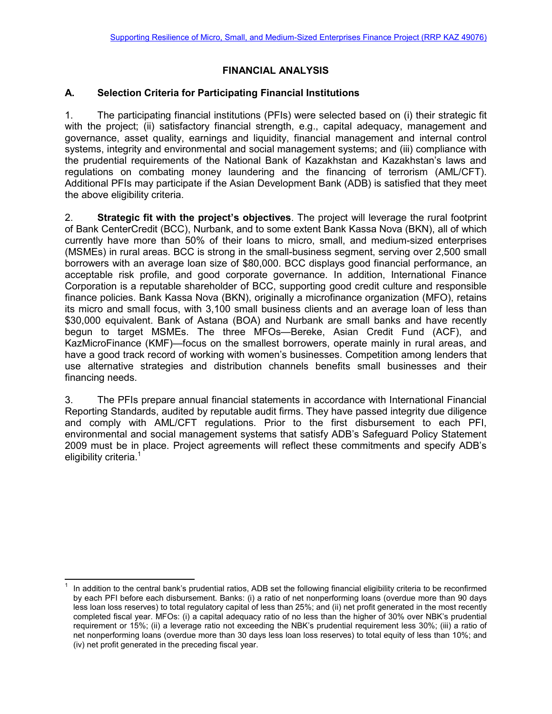# **FINANCIAL ANALYSIS**

### **A. Selection Criteria for Participating Financial Institutions**

1. The participating financial institutions (PFIs) were selected based on (i) their strategic fit with the project; (ii) satisfactory financial strength, e.g., capital adequacy, management and governance, asset quality, earnings and liquidity, financial management and internal control systems, integrity and environmental and social management systems; and (iii) compliance with the prudential requirements of the National Bank of Kazakhstan and Kazakhstan's laws and regulations on combating money laundering and the financing of terrorism (AML/CFT). Additional PFIs may participate if the Asian Development Bank (ADB) is satisfied that they meet the above eligibility criteria.

2. **Strategic fit with the project's objectives**. The project will leverage the rural footprint of Bank CenterCredit (BCC), Nurbank, and to some extent Bank Kassa Nova (BKN), all of which currently have more than 50% of their loans to micro, small, and medium-sized enterprises (MSMEs) in rural areas. BCC is strong in the small-business segment, serving over 2,500 small borrowers with an average loan size of \$80,000. BCC displays good financial performance, an acceptable risk profile, and good corporate governance. In addition, International Finance Corporation is a reputable shareholder of BCC, supporting good credit culture and responsible finance policies. Bank Kassa Nova (BKN), originally a microfinance organization (MFO), retains its micro and small focus, with 3,100 small business clients and an average loan of less than \$30,000 equivalent. Bank of Astana (BOA) and Nurbank are small banks and have recently begun to target MSMEs. The three MFOs—Bereke, Asian Credit Fund (ACF), and KazMicroFinance (KMF)—focus on the smallest borrowers, operate mainly in rural areas, and have a good track record of working with women's businesses. Competition among lenders that use alternative strategies and distribution channels benefits small businesses and their financing needs.

3. The PFIs prepare annual financial statements in accordance with International Financial Reporting Standards, audited by reputable audit firms. They have passed integrity due diligence and comply with AML/CFT regulations. Prior to the first disbursement to each PFI, environmental and social management systems that satisfy ADB's Safeguard Policy Statement 2009 must be in place. Project agreements will reflect these commitments and specify ADB's eligibility criteria.<sup>1</sup>

 $\overline{a}$ 1 In addition to the central bank's prudential ratios, ADB set the following financial eligibility criteria to be reconfirmed by each PFI before each disbursement. Banks: (i) a ratio of net nonperforming loans (overdue more than 90 days less loan loss reserves) to total regulatory capital of less than 25%; and (ii) net profit generated in the most recently completed fiscal year. MFOs: (i) a capital adequacy ratio of no less than the higher of 30% over NBK's prudential requirement or 15%; (ii) a leverage ratio not exceeding the NBK's prudential requirement less 30%; (iii) a ratio of net nonperforming loans (overdue more than 30 days less loan loss reserves) to total equity of less than 10%; and (iv) net profit generated in the preceding fiscal year.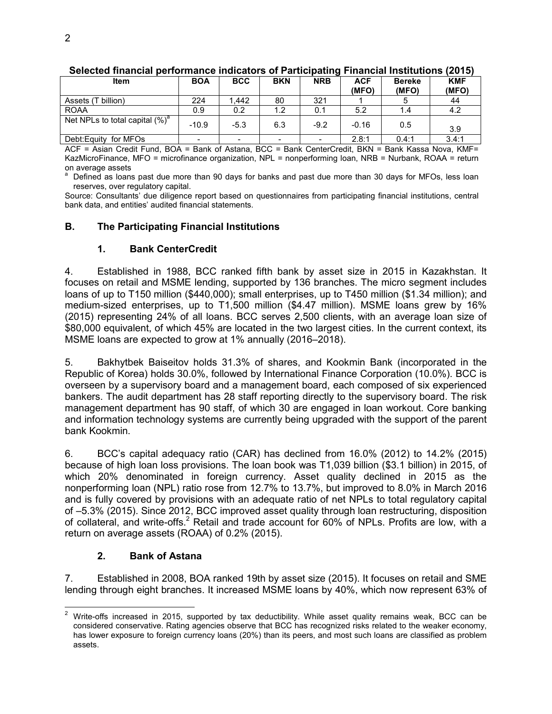| <b>Item</b>                        | <b>BOA</b>               | <b>BCC</b>               | <b>BKN</b> | <b>NRB</b>               | <b>ACF</b><br>(MFO) | <b>Bereke</b><br>(MFO) | <b>KMF</b><br>(MFO) |
|------------------------------------|--------------------------|--------------------------|------------|--------------------------|---------------------|------------------------|---------------------|
| Assets (T billion)                 | 224                      | .442                     | 80         | 321                      |                     |                        | 44                  |
| <b>ROAA</b>                        | 0.9                      | 0.2                      | 1.2        | 0.1                      | 5.2                 | 1.4                    | 4.2                 |
| Net NPLs to total capital $(\%)^a$ | $-10.9$                  | $-5.3$                   | 6.3        | $-9.2$                   | $-0.16$             | 0.5                    | 3.9                 |
| Debt: Equity for MFOs              | $\overline{\phantom{a}}$ | $\overline{\phantom{0}}$ | -          | $\overline{\phantom{0}}$ | 2.8:1               | 0.4:1                  | 3.4:1               |

#### **Selected financial performance indicators of Participating Financial Institutions (2015)**

ACF = Asian Credit Fund, BOA = Bank of Astana, BCC = Bank CenterCredit, BKN = Bank Kassa Nova, KMF= KazMicroFinance, MFO = microfinance organization, NPL = nonperforming loan, NRB = Nurbank, ROAA = return on average assets<br>a. Defined as loops

 Defined as loans past due more than 90 days for banks and past due more than 30 days for MFOs, less loan reserves, over regulatory capital.

Source: Consultants' due diligence report based on questionnaires from participating financial institutions, central bank data, and entities' audited financial statements.

#### **B. The Participating Financial Institutions**

#### **1. Bank CenterCredit**

4. Established in 1988, BCC ranked fifth bank by asset size in 2015 in Kazakhstan. It focuses on retail and MSME lending, supported by 136 branches. The micro segment includes loans of up to T150 million (\$440,000); small enterprises, up to T450 million (\$1.34 million); and medium-sized enterprises, up to T1,500 million (\$4.47 million). MSME loans grew by 16% (2015) representing 24% of all loans. BCC serves 2,500 clients, with an average loan size of \$80,000 equivalent, of which 45% are located in the two largest cities. In the current context, its MSME loans are expected to grow at 1% annually (2016–2018).

5. Bakhytbek Baiseitov holds 31.3% of shares, and Kookmin Bank (incorporated in the Republic of Korea) holds 30.0%, followed by International Finance Corporation (10.0%). BCC is overseen by a supervisory board and a management board, each composed of six experienced bankers. The audit department has 28 staff reporting directly to the supervisory board. The risk management department has 90 staff, of which 30 are engaged in loan workout. Core banking and information technology systems are currently being upgraded with the support of the parent bank Kookmin.

6. BCC's capital adequacy ratio (CAR) has declined from 16.0% (2012) to 14.2% (2015) because of high loan loss provisions. The loan book was T1,039 billion (\$3.1 billion) in 2015, of which 20% denominated in foreign currency. Asset quality declined in 2015 as the nonperforming loan (NPL) ratio rose from 12.7% to 13.7%, but improved to 8.0% in March 2016 and is fully covered by provisions with an adequate ratio of net NPLs to total regulatory capital of –5.3% (2015). Since 2012, BCC improved asset quality through loan restructuring, disposition of collateral, and write-offs.<sup>2</sup> Retail and trade account for 60% of NPLs. Profits are low, with a return on average assets (ROAA) of 0.2% (2015).

# **2. Bank of Astana**

7. Established in 2008, BOA ranked 19th by asset size (2015). It focuses on retail and SME lending through eight branches. It increased MSME loans by 40%, which now represent 63% of

 2 Write-offs increased in 2015, supported by tax deductibility. While asset quality remains weak, BCC can be considered conservative. Rating agencies observe that BCC has recognized risks related to the weaker economy, has lower exposure to foreign currency loans (20%) than its peers, and most such loans are classified as problem assets.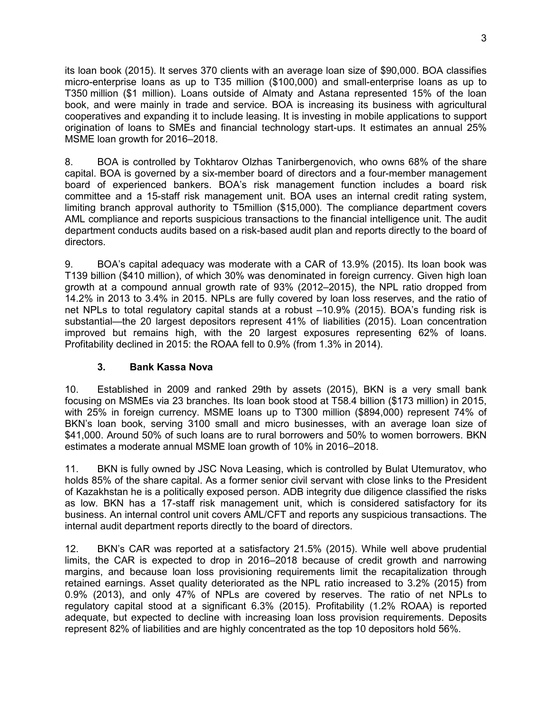its loan book (2015). It serves 370 clients with an average loan size of \$90,000. BOA classifies micro-enterprise loans as up to T35 million (\$100,000) and small-enterprise loans as up to T350 million (\$1 million). Loans outside of Almaty and Astana represented 15% of the loan book, and were mainly in trade and service. BOA is increasing its business with agricultural cooperatives and expanding it to include leasing. It is investing in mobile applications to support origination of loans to SMEs and financial technology start-ups. It estimates an annual 25% MSME loan growth for 2016–2018.

8. BOA is controlled by Tokhtarov Olzhas Tanirbergenovich, who owns 68% of the share capital. BOA is governed by a six-member board of directors and a four-member management board of experienced bankers. BOA's risk management function includes a board risk committee and a 15-staff risk management unit. BOA uses an internal credit rating system, limiting branch approval authority to T5million (\$15,000). The compliance department covers AML compliance and reports suspicious transactions to the financial intelligence unit. The audit department conducts audits based on a risk-based audit plan and reports directly to the board of directors.

9. BOA's capital adequacy was moderate with a CAR of 13.9% (2015). Its loan book was T139 billion (\$410 million), of which 30% was denominated in foreign currency. Given high loan growth at a compound annual growth rate of 93% (2012–2015), the NPL ratio dropped from 14.2% in 2013 to 3.4% in 2015. NPLs are fully covered by loan loss reserves, and the ratio of net NPLs to total regulatory capital stands at a robust –10.9% (2015). BOA's funding risk is substantial—the 20 largest depositors represent 41% of liabilities (2015). Loan concentration improved but remains high, with the 20 largest exposures representing 62% of loans. Profitability declined in 2015: the ROAA fell to 0.9% (from 1.3% in 2014).

# **3. Bank Kassa Nova**

10. Established in 2009 and ranked 29th by assets (2015), BKN is a very small bank focusing on MSMEs via 23 branches. Its loan book stood at T58.4 billion (\$173 million) in 2015, with 25% in foreign currency. MSME loans up to T300 million (\$894,000) represent 74% of BKN's loan book, serving 3100 small and micro businesses, with an average loan size of \$41,000. Around 50% of such loans are to rural borrowers and 50% to women borrowers. BKN estimates a moderate annual MSME loan growth of 10% in 2016–2018.

11. BKN is fully owned by JSC Nova Leasing, which is controlled by Bulat Utemuratov, who holds 85% of the share capital. As a former senior civil servant with close links to the President of Kazakhstan he is a politically exposed person. ADB integrity due diligence classified the risks as low. BKN has a 17-staff risk management unit, which is considered satisfactory for its business. An internal control unit covers AML/CFT and reports any suspicious transactions. The internal audit department reports directly to the board of directors.

12. BKN's CAR was reported at a satisfactory 21.5% (2015). While well above prudential limits, the CAR is expected to drop in 2016–2018 because of credit growth and narrowing margins, and because loan loss provisioning requirements limit the recapitalization through retained earnings. Asset quality deteriorated as the NPL ratio increased to 3.2% (2015) from 0.9% (2013), and only 47% of NPLs are covered by reserves. The ratio of net NPLs to regulatory capital stood at a significant 6.3% (2015). Profitability (1.2% ROAA) is reported adequate, but expected to decline with increasing loan loss provision requirements. Deposits represent 82% of liabilities and are highly concentrated as the top 10 depositors hold 56%.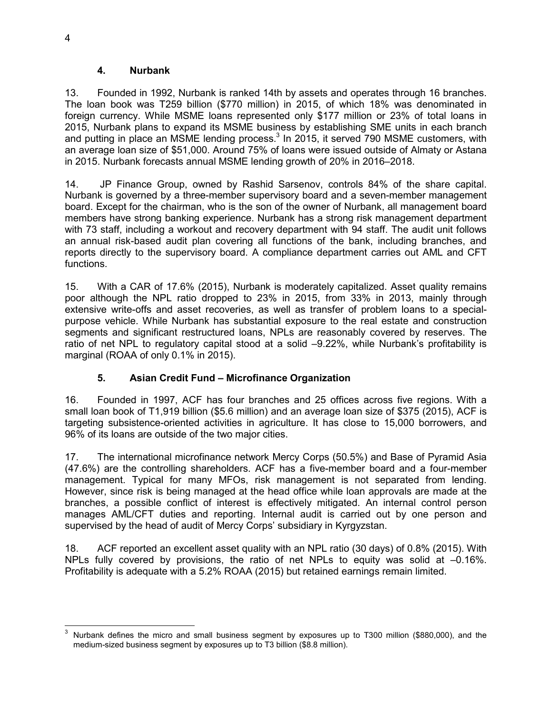#### **4. Nurbank**

13. Founded in 1992, Nurbank is ranked 14th by assets and operates through 16 branches. The loan book was T259 billion (\$770 million) in 2015, of which 18% was denominated in foreign currency. While MSME loans represented only \$177 million or 23% of total loans in 2015, Nurbank plans to expand its MSME business by establishing SME units in each branch and putting in place an MSME lending process. $3$  In 2015, it served 790 MSME customers, with an average loan size of \$51,000. Around 75% of loans were issued outside of Almaty or Astana in 2015. Nurbank forecasts annual MSME lending growth of 20% in 2016–2018.

14. JP Finance Group, owned by Rashid Sarsenov, controls 84% of the share capital. Nurbank is governed by a three-member supervisory board and a seven-member management board. Except for the chairman, who is the son of the owner of Nurbank, all management board members have strong banking experience. Nurbank has a strong risk management department with 73 staff, including a workout and recovery department with 94 staff. The audit unit follows an annual risk-based audit plan covering all functions of the bank, including branches, and reports directly to the supervisory board. A compliance department carries out AML and CFT functions.

15. With a CAR of 17.6% (2015), Nurbank is moderately capitalized. Asset quality remains poor although the NPL ratio dropped to 23% in 2015, from 33% in 2013, mainly through extensive write-offs and asset recoveries, as well as transfer of problem loans to a specialpurpose vehicle. While Nurbank has substantial exposure to the real estate and construction segments and significant restructured loans, NPLs are reasonably covered by reserves. The ratio of net NPL to regulatory capital stood at a solid –9.22%, while Nurbank's profitability is marginal (ROAA of only 0.1% in 2015).

# **5. Asian Credit Fund – Microfinance Organization**

16. Founded in 1997, ACF has four branches and 25 offices across five regions. With a small loan book of T1,919 billion (\$5.6 million) and an average loan size of \$375 (2015), ACF is targeting subsistence-oriented activities in agriculture. It has close to 15,000 borrowers, and 96% of its loans are outside of the two major cities.

17. The international microfinance network Mercy Corps (50.5%) and Base of Pyramid Asia (47.6%) are the controlling shareholders. ACF has a five-member board and a four-member management. Typical for many MFOs, risk management is not separated from lending. However, since risk is being managed at the head office while loan approvals are made at the branches, a possible conflict of interest is effectively mitigated. An internal control person manages AML/CFT duties and reporting. Internal audit is carried out by one person and supervised by the head of audit of Mercy Corps' subsidiary in Kyrgyzstan.

18. ACF reported an excellent asset quality with an NPL ratio (30 days) of 0.8% (2015). With NPLs fully covered by provisions, the ratio of net NPLs to equity was solid at –0.16%. Profitability is adequate with a 5.2% ROAA (2015) but retained earnings remain limited.

 $\overline{a}$ 3 Nurbank defines the micro and small business segment by exposures up to T300 million (\$880,000), and the medium-sized business segment by exposures up to T3 billion (\$8.8 million).